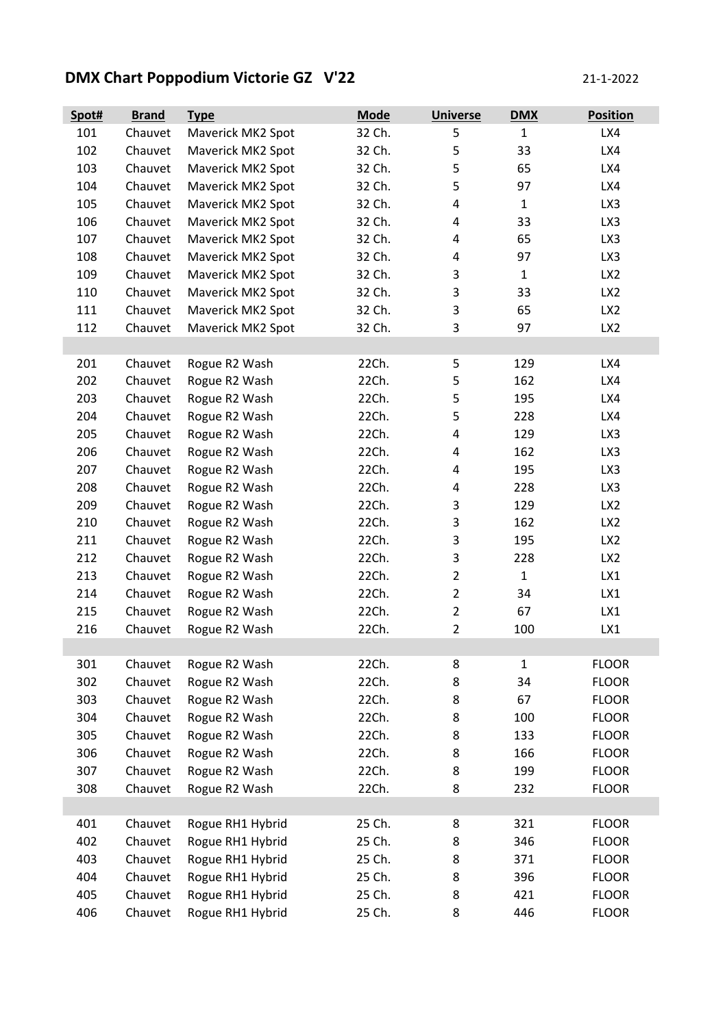## **DMX Chart Poppodium Victorie GZ V'22** 21-1-2022

| Spot# | <b>Brand</b> | <b>Type</b>       | <b>Mode</b> | <b>Universe</b>         | <b>DMX</b>   | <b>Position</b> |
|-------|--------------|-------------------|-------------|-------------------------|--------------|-----------------|
| 101   | Chauvet      | Maverick MK2 Spot | 32 Ch.      | 5                       | $\mathbf{1}$ | LX4             |
| 102   | Chauvet      | Maverick MK2 Spot | 32 Ch.      | 5                       | 33           | LX4             |
| 103   | Chauvet      | Maverick MK2 Spot | 32 Ch.      | 5                       | 65           | LX4             |
| 104   | Chauvet      | Maverick MK2 Spot | 32 Ch.      | 5                       | 97           | LX4             |
| 105   | Chauvet      | Maverick MK2 Spot | 32 Ch.      | 4                       | $\mathbf{1}$ | LX3             |
| 106   | Chauvet      | Maverick MK2 Spot | 32 Ch.      | $\overline{4}$          | 33           | LX3             |
| 107   | Chauvet      | Maverick MK2 Spot | 32 Ch.      | 4                       | 65           | LX3             |
| 108   | Chauvet      | Maverick MK2 Spot | 32 Ch.      | 4                       | 97           | LX3             |
| 109   | Chauvet      | Maverick MK2 Spot | 32 Ch.      | 3                       | $\mathbf{1}$ | LX <sub>2</sub> |
| 110   | Chauvet      | Maverick MK2 Spot | 32 Ch.      | 3                       | 33           | LX <sub>2</sub> |
| 111   | Chauvet      | Maverick MK2 Spot | 32 Ch.      | 3                       | 65           | LX <sub>2</sub> |
| 112   | Chauvet      | Maverick MK2 Spot | 32 Ch.      | 3                       | 97           | LX <sub>2</sub> |
|       |              |                   |             |                         |              |                 |
| 201   | Chauvet      | Rogue R2 Wash     | 22Ch.       | 5                       | 129          | LX4             |
| 202   | Chauvet      | Rogue R2 Wash     | 22Ch.       | 5                       | 162          | LX4             |
| 203   | Chauvet      | Rogue R2 Wash     | 22Ch.       | 5                       | 195          | LX4             |
| 204   | Chauvet      | Rogue R2 Wash     | 22Ch.       | 5                       | 228          | LX4             |
| 205   | Chauvet      | Rogue R2 Wash     | 22Ch.       | $\overline{4}$          | 129          | LX3             |
| 206   | Chauvet      | Rogue R2 Wash     | 22Ch.       | 4                       | 162          | LX3             |
| 207   | Chauvet      | Rogue R2 Wash     | 22Ch.       | $\overline{\mathbf{4}}$ | 195          | LX3             |
| 208   | Chauvet      | Rogue R2 Wash     | 22Ch.       | $\overline{a}$          | 228          | LX3             |
| 209   | Chauvet      | Rogue R2 Wash     | 22Ch.       | 3                       | 129          | LX <sub>2</sub> |
| 210   | Chauvet      | Rogue R2 Wash     | 22Ch.       | 3                       | 162          | LX <sub>2</sub> |
| 211   | Chauvet      | Rogue R2 Wash     | 22Ch.       | 3                       | 195          | LX <sub>2</sub> |
| 212   | Chauvet      | Rogue R2 Wash     | 22Ch.       | 3                       | 228          | LX <sub>2</sub> |
| 213   | Chauvet      | Rogue R2 Wash     | 22Ch.       | $\overline{2}$          | $\mathbf{1}$ | LX1             |
| 214   | Chauvet      | Rogue R2 Wash     | 22Ch.       | $\overline{2}$          | 34           | LX1             |
| 215   | Chauvet      | Rogue R2 Wash     | 22Ch.       | $\overline{2}$          | 67           | LX1             |
| 216   | Chauvet      | Rogue R2 Wash     | 22Ch.       | $\overline{2}$          | 100          | LX1             |
|       |              |                   |             |                         |              |                 |
| 301   | Chauvet      | Rogue R2 Wash     | 22Ch.       | 8                       | $\mathbf{1}$ | <b>FLOOR</b>    |
| 302   | Chauvet      | Rogue R2 Wash     | 22Ch.       | 8                       | 34           | <b>FLOOR</b>    |
| 303   | Chauvet      | Rogue R2 Wash     | 22Ch.       | 8                       | 67           | <b>FLOOR</b>    |
| 304   | Chauvet      | Rogue R2 Wash     | 22Ch.       | 8                       | 100          | <b>FLOOR</b>    |
| 305   | Chauvet      | Rogue R2 Wash     | 22Ch.       | 8                       | 133          | <b>FLOOR</b>    |
| 306   | Chauvet      | Rogue R2 Wash     | 22Ch.       | 8                       | 166          | <b>FLOOR</b>    |
| 307   | Chauvet      | Rogue R2 Wash     | 22Ch.       | 8                       | 199          | <b>FLOOR</b>    |
| 308   | Chauvet      | Rogue R2 Wash     | 22Ch.       | 8                       | 232          | <b>FLOOR</b>    |
|       |              |                   |             |                         |              |                 |
| 401   | Chauvet      | Rogue RH1 Hybrid  | 25 Ch.      | 8                       | 321          | <b>FLOOR</b>    |
| 402   | Chauvet      | Rogue RH1 Hybrid  | 25 Ch.      | 8                       | 346          | <b>FLOOR</b>    |
| 403   | Chauvet      | Rogue RH1 Hybrid  | 25 Ch.      | 8                       | 371          | <b>FLOOR</b>    |
| 404   | Chauvet      | Rogue RH1 Hybrid  | 25 Ch.      | 8                       | 396          | <b>FLOOR</b>    |
| 405   | Chauvet      | Rogue RH1 Hybrid  | 25 Ch.      | 8                       | 421          | <b>FLOOR</b>    |
| 406   | Chauvet      | Rogue RH1 Hybrid  | 25 Ch.      | 8                       | 446          | <b>FLOOR</b>    |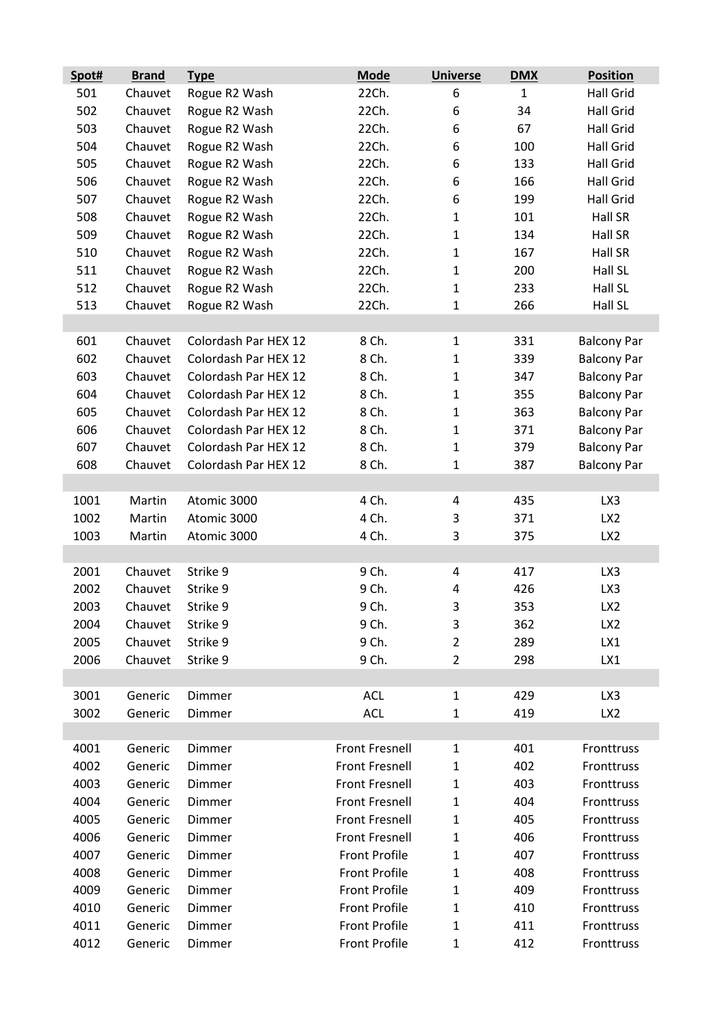| Spot# | <b>Brand</b> | <b>Type</b>          | <b>Mode</b>           | <b>Universe</b> | <b>DMX</b>   | <b>Position</b>    |
|-------|--------------|----------------------|-----------------------|-----------------|--------------|--------------------|
| 501   | Chauvet      | Rogue R2 Wash        | 22Ch.                 | 6               | $\mathbf{1}$ | <b>Hall Grid</b>   |
| 502   | Chauvet      | Rogue R2 Wash        | 22Ch.                 | 6               | 34           | <b>Hall Grid</b>   |
| 503   | Chauvet      | Rogue R2 Wash        | 22Ch.                 | 6               | 67           | <b>Hall Grid</b>   |
| 504   | Chauvet      | Rogue R2 Wash        | 22Ch.                 | 6               | 100          | Hall Grid          |
| 505   | Chauvet      | Rogue R2 Wash        | 22Ch.                 | 6               | 133          | Hall Grid          |
| 506   | Chauvet      | Rogue R2 Wash        | 22Ch.                 | 6               | 166          | <b>Hall Grid</b>   |
| 507   | Chauvet      | Rogue R2 Wash        | 22Ch.                 | 6               | 199          | <b>Hall Grid</b>   |
| 508   | Chauvet      | Rogue R2 Wash        | 22Ch.                 | $\mathbf{1}$    | 101          | Hall SR            |
| 509   | Chauvet      | Rogue R2 Wash        | 22Ch.                 | $\mathbf{1}$    | 134          | Hall SR            |
| 510   | Chauvet      | Rogue R2 Wash        | 22Ch.                 | $\mathbf{1}$    | 167          | Hall SR            |
| 511   | Chauvet      | Rogue R2 Wash        | 22Ch.                 | $\mathbf{1}$    | 200          | Hall SL            |
| 512   | Chauvet      | Rogue R2 Wash        | 22Ch.                 | $\mathbf{1}$    | 233          | Hall SL            |
| 513   | Chauvet      | Rogue R2 Wash        | 22Ch.                 | $\mathbf{1}$    | 266          | Hall SL            |
|       |              |                      |                       |                 |              |                    |
| 601   | Chauvet      | Colordash Par HEX 12 | 8 Ch.                 | $\mathbf{1}$    | 331          | <b>Balcony Par</b> |
| 602   | Chauvet      | Colordash Par HEX 12 | 8 Ch.                 | $\mathbf{1}$    | 339          | <b>Balcony Par</b> |
| 603   | Chauvet      | Colordash Par HEX 12 | 8 Ch.                 | $\mathbf{1}$    | 347          | <b>Balcony Par</b> |
| 604   | Chauvet      | Colordash Par HEX 12 | 8 Ch.                 | $\mathbf{1}$    | 355          | <b>Balcony Par</b> |
| 605   | Chauvet      | Colordash Par HEX 12 | 8 Ch.                 | $\mathbf{1}$    | 363          | <b>Balcony Par</b> |
| 606   | Chauvet      | Colordash Par HEX 12 | 8 Ch.                 | $\mathbf{1}$    | 371          | <b>Balcony Par</b> |
| 607   | Chauvet      | Colordash Par HEX 12 | 8 Ch.                 | $\mathbf{1}$    | 379          | <b>Balcony Par</b> |
| 608   | Chauvet      | Colordash Par HEX 12 | 8 Ch.                 | $\mathbf{1}$    | 387          | <b>Balcony Par</b> |
|       |              |                      |                       |                 |              |                    |
| 1001  | Martin       | Atomic 3000          | 4 Ch.                 | 4               | 435          | LX3                |
| 1002  | Martin       | Atomic 3000          | 4 Ch.                 | 3               | 371          | LX <sub>2</sub>    |
| 1003  | Martin       | Atomic 3000          | 4 Ch.                 | 3               | 375          | LX <sub>2</sub>    |
|       |              |                      |                       |                 |              |                    |
| 2001  | Chauvet      | Strike 9             | 9 Ch.                 | 4               | 417          | LX3                |
| 2002  | Chauvet      | Strike 9             | 9 Ch.                 | 4               | 426          | LX3                |
| 2003  | Chauvet      | Strike 9             | 9 Ch.                 | 3               | 353          | LX <sub>2</sub>    |
| 2004  | Chauvet      | Strike 9             | 9 Ch.                 | 3               | 362          | LX <sub>2</sub>    |
| 2005  | Chauvet      | Strike 9             | 9 Ch.                 | $\overline{2}$  | 289          | LX1                |
| 2006  | Chauvet      | Strike 9             | 9 Ch.                 | $\overline{2}$  | 298          | LX1                |
|       |              |                      |                       |                 |              |                    |
| 3001  | Generic      | Dimmer               | <b>ACL</b>            | $\mathbf{1}$    | 429          | LX3                |
| 3002  | Generic      | Dimmer               | <b>ACL</b>            | $\mathbf{1}$    | 419          | LX <sub>2</sub>    |
|       |              |                      |                       |                 |              |                    |
| 4001  | Generic      | Dimmer               | <b>Front Fresnell</b> | $\mathbf{1}$    | 401          | Fronttruss         |
| 4002  | Generic      | Dimmer               | <b>Front Fresnell</b> | $\mathbf{1}$    | 402          | Fronttruss         |
| 4003  | Generic      | Dimmer               | <b>Front Fresnell</b> | $\mathbf{1}$    | 403          | Fronttruss         |
| 4004  | Generic      | Dimmer               | <b>Front Fresnell</b> | $\mathbf{1}$    | 404          | Fronttruss         |
| 4005  | Generic      | Dimmer               | <b>Front Fresnell</b> | $\mathbf{1}$    | 405          | Fronttruss         |
| 4006  | Generic      | Dimmer               | <b>Front Fresnell</b> | $\mathbf{1}$    | 406          | Fronttruss         |
| 4007  | Generic      | Dimmer               | <b>Front Profile</b>  | $\mathbf{1}$    | 407          | Fronttruss         |
| 4008  | Generic      | Dimmer               | <b>Front Profile</b>  | $\mathbf{1}$    | 408          | Fronttruss         |
| 4009  | Generic      | Dimmer               | <b>Front Profile</b>  | $\mathbf{1}$    | 409          | Fronttruss         |
| 4010  | Generic      | Dimmer               | <b>Front Profile</b>  | $\mathbf{1}$    | 410          | Fronttruss         |
| 4011  | Generic      | Dimmer               | <b>Front Profile</b>  | $\mathbf{1}$    | 411          | Fronttruss         |
| 4012  | Generic      | Dimmer               | <b>Front Profile</b>  | $\mathbf{1}$    | 412          | Fronttruss         |